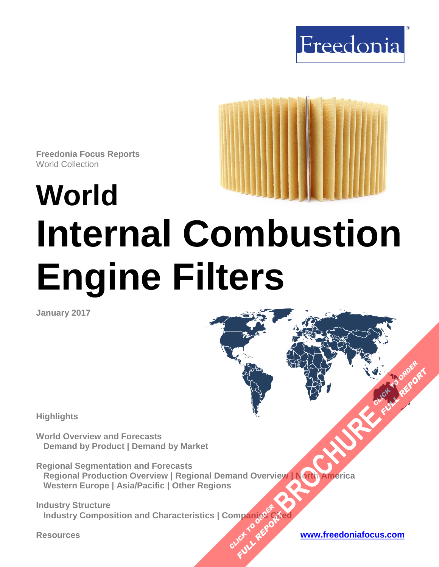



**Freedonia Focus Reports** World Collection

# **World Internal Combustion Engine Filters**

**January 2017**

**Highlights**

**World Overview and Forecasts Demand by Product | Demand by Market**

**Regional Segmentation and Forecasts Regional Production Overview | Regional Demand Overview | North America Western Europe | Asia/Pacific | Other Regions [BROCHURE](http://www.freedoniagroup.com/FocusDetails.aspx?ReferrerId=FM-FocusBro&ReportID=FW70035) AND AMERICA** 

**Industry Structure Industry Composition and Characteristics | Companies Cited OMPanjages Plance City** 

**Resources [www.freedoniafocus.com](http://www.freedoniagroup.com/FocusReports.aspx?ReferrerId=FM-FocusBro)**

**FULL REPORT**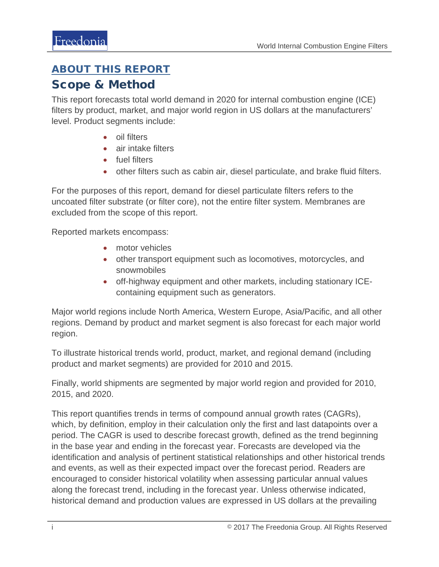# <span id="page-1-0"></span>ABOUT THIS REPORT

# Scope & Method

This report forecasts total world demand in 2020 for internal combustion engine (ICE) filters by product, market, and major world region in US dollars at the manufacturers' level. Product segments include:

- oil filters
- air intake filters
- fuel filters
- other filters such as cabin air, diesel particulate, and brake fluid filters.

For the purposes of this report, demand for diesel particulate filters refers to the uncoated filter substrate (or filter core), not the entire filter system. Membranes are excluded from the scope of this report.

Reported markets encompass:

- motor vehicles
- other transport equipment such as locomotives, motorcycles, and snowmobiles
- off-highway equipment and other markets, including stationary ICEcontaining equipment such as generators.

Major world regions include North America, Western Europe, Asia/Pacific, and all other regions. Demand by product and market segment is also forecast for each major world region.

To illustrate historical trends world, product, market, and regional demand (including product and market segments) are provided for 2010 and 2015.

Finally, world shipments are segmented by major world region and provided for 2010, 2015, and 2020.

This report quantifies trends in terms of compound annual growth rates (CAGRs), which, by definition, employ in their calculation only the first and last datapoints over a period. The CAGR is used to describe forecast growth, defined as the trend beginning in the base year and ending in the forecast year. Forecasts are developed via the identification and analysis of pertinent statistical relationships and other historical trends and events, as well as their expected impact over the forecast period. Readers are encouraged to consider historical volatility when assessing particular annual values along the forecast trend, including in the forecast year. Unless otherwise indicated, historical demand and production values are expressed in US dollars at the prevailing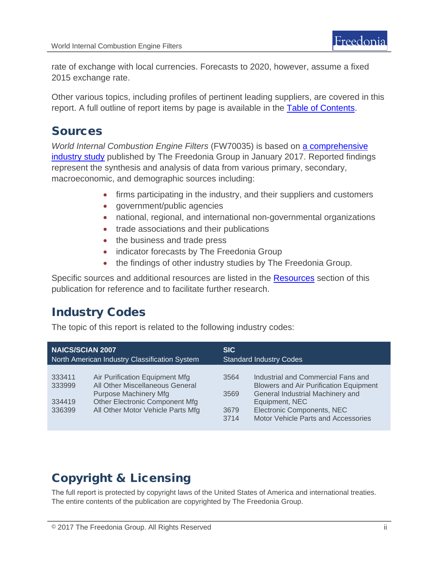rate of exchange with local currencies. Forecasts to 2020, however, assume a fixed 2015 exchange rate.

Other various topics, including profiles of pertinent leading suppliers, are covered in this report. A full outline of report items by page is available in the [Table of Contents.](#page-3-0)

# Sources

*World Internal Combustion Engine Filters* (FW70035) is based on [a comprehensive](http://www.freedoniagroup.com/DocumentDetails.aspx?ReferrerId=FL-FOCUS&studyid=3481)  [industry study](http://www.freedoniagroup.com/DocumentDetails.aspx?ReferrerId=FL-FOCUS&studyid=3481) published by The Freedonia Group in January 2017. Reported findings represent the synthesis and analysis of data from various primary, secondary, macroeconomic, and demographic sources including:

- firms participating in the industry, and their suppliers and customers
- government/public agencies
- national, regional, and international non-governmental organizations
- trade associations and their publications
- the business and trade press
- indicator forecasts by The Freedonia Group
- the findings of other industry studies by The Freedonia Group.

Specific sources and additional resources are listed in the **Resources** section of this publication for reference and to facilitate further research.

# Industry Codes

The topic of this report is related to the following industry codes:

| <b>NAICS/SCIAN 2007</b>                       |                                                                                                                                                                                 | <b>SIC</b>                     |                                                                                                                                                                                                                |
|-----------------------------------------------|---------------------------------------------------------------------------------------------------------------------------------------------------------------------------------|--------------------------------|----------------------------------------------------------------------------------------------------------------------------------------------------------------------------------------------------------------|
| North American Industry Classification System |                                                                                                                                                                                 | <b>Standard Industry Codes</b> |                                                                                                                                                                                                                |
| 333411<br>333999<br>334419<br>336399          | Air Purification Equipment Mfg<br>All Other Miscellaneous General<br><b>Purpose Machinery Mfg</b><br><b>Other Electronic Component Mfg</b><br>All Other Motor Vehicle Parts Mfg | 3564<br>3569<br>3679<br>3714   | Industrial and Commercial Fans and<br><b>Blowers and Air Purification Equipment</b><br>General Industrial Machinery and<br>Equipment, NEC<br>Electronic Components, NEC<br>Motor Vehicle Parts and Accessories |

# Copyright & Licensing

The full report is protected by copyright laws of the United States of America and international treaties. The entire contents of the publication are copyrighted by The Freedonia Group.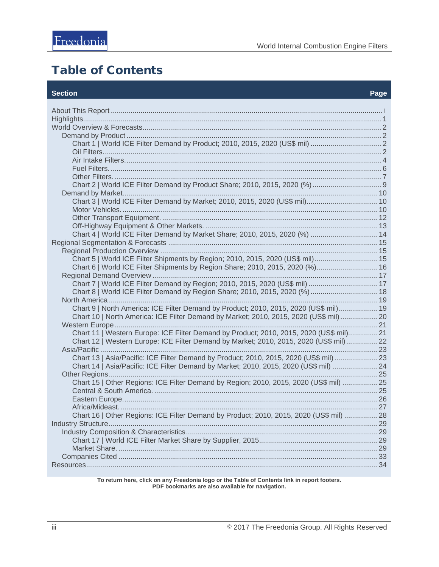# <span id="page-3-0"></span>**Table of Contents**

#### **Section**

| Chart 3   World ICE Filter Demand by Market; 2010, 2015, 2020 (US\$ mil) 10             |  |  |  |
|-----------------------------------------------------------------------------------------|--|--|--|
|                                                                                         |  |  |  |
|                                                                                         |  |  |  |
|                                                                                         |  |  |  |
| Chart 4   World ICE Filter Demand by Market Share; 2010, 2015, 2020 (%)  14             |  |  |  |
|                                                                                         |  |  |  |
|                                                                                         |  |  |  |
| Chart 5   World ICE Filter Shipments by Region; 2010, 2015, 2020 (US\$ mil) 15          |  |  |  |
| Chart 6   World ICE Filter Shipments by Region Share; 2010, 2015, 2020 (%) 16           |  |  |  |
|                                                                                         |  |  |  |
| Chart 7   World ICE Filter Demand by Region; 2010, 2015, 2020 (US\$ mil)  17            |  |  |  |
| Chart 8   World ICE Filter Demand by Region Share; 2010, 2015, 2020 (%)  18             |  |  |  |
|                                                                                         |  |  |  |
| Chart 9   North America: ICE Filter Demand by Product; 2010, 2015, 2020 (US\$ mil) 19   |  |  |  |
| Chart 10   North America: ICE Filter Demand by Market; 2010, 2015, 2020 (US\$ mil)20    |  |  |  |
|                                                                                         |  |  |  |
| Chart 11   Western Europe: ICE Filter Demand by Product; 2010, 2015, 2020 (US\$ mil)21  |  |  |  |
| Chart 12   Western Europe: ICE Filter Demand by Market; 2010, 2015, 2020 (US\$ mil) 22  |  |  |  |
|                                                                                         |  |  |  |
| Chart 13   Asia/Pacific: ICE Filter Demand by Product; 2010, 2015, 2020 (US\$ mil)23    |  |  |  |
| Chart 14   Asia/Pacific: ICE Filter Demand by Market; 2010, 2015, 2020 (US\$ mil)  24   |  |  |  |
|                                                                                         |  |  |  |
| Chart 15   Other Regions: ICE Filter Demand by Region; 2010, 2015, 2020 (US\$ mil)  25  |  |  |  |
|                                                                                         |  |  |  |
|                                                                                         |  |  |  |
| Chart 16   Other Regions: ICE Filter Demand by Product; 2010, 2015, 2020 (US\$ mil)  28 |  |  |  |
|                                                                                         |  |  |  |
|                                                                                         |  |  |  |
|                                                                                         |  |  |  |
|                                                                                         |  |  |  |
|                                                                                         |  |  |  |
|                                                                                         |  |  |  |
|                                                                                         |  |  |  |

To return here, click on any Freedonia logo or the Table of Contents link in report footers.<br>PDF bookmarks are also available for navigation.